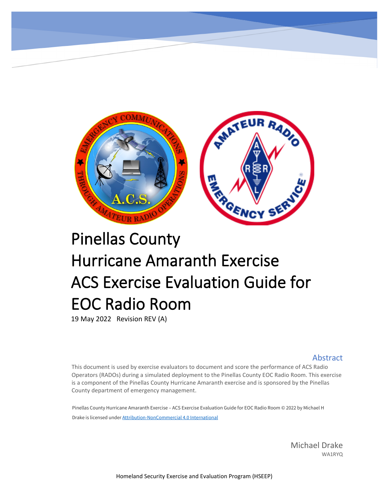

# Pinellas County Hurricane Amaranth Exercise ACS Exercise Evaluation Guide for EOC Radio Room

19 May 2022 Revision REV (A)

#### **Abstract**

This document is used by exercise evaluators to document and score the performance of ACS Radio Operators (RADOs) during a simulated deployment to the Pinellas County EOC Radio Room. This exercise is a component of the Pinellas County Hurricane Amaranth exercise and is sponsored by the Pinellas County department of emergency management.

Pinellas County Hurricane Amaranth Exercise – ACS Exercise Evaluation Guide for EOC Radio Room © 2022 by Michael H Drake is licensed under [Attribution-NonCommercial 4.0 International](http://creativecommons.org/licenses/by-nc/4.0/?ref=chooser-v1)

> Michael Drake WA1RYQ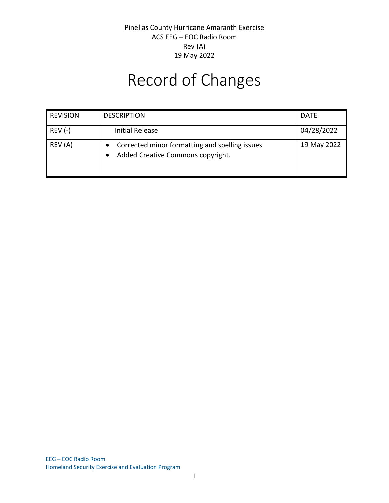# Record of Changes

| <b>REVISION</b> | <b>DESCRIPTION</b>                                                                  | <b>DATE</b> |
|-----------------|-------------------------------------------------------------------------------------|-------------|
| $REV (-)$       | <b>Initial Release</b>                                                              | 04/28/2022  |
| REV (A)         | Corrected minor formatting and spelling issues<br>Added Creative Commons copyright. | 19 May 2022 |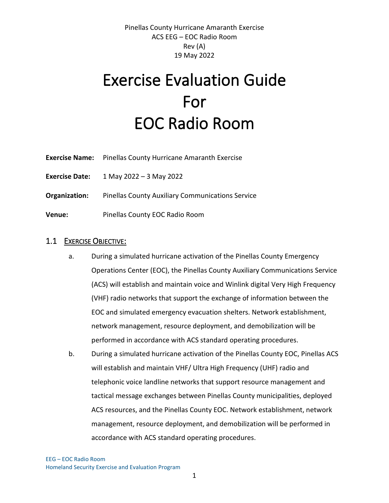# Exercise Evaluation Guide For EOC Radio Room

- **Exercise Name:** Pinellas County Hurricane Amaranth Exercise
- **Exercise Date:** 1 May 2022 3 May 2022
- **Organization:** Pinellas County Auxiliary Communications Service
- **Venue:** Pinellas County EOC Radio Room

#### 1.1 EXERCISE OBJECTIVE:

- a. During a simulated hurricane activation of the Pinellas County Emergency Operations Center (EOC), the Pinellas County Auxiliary Communications Service (ACS) will establish and maintain voice and Winlink digital Very High Frequency (VHF) radio networks that support the exchange of information between the EOC and simulated emergency evacuation shelters. Network establishment, network management, resource deployment, and demobilization will be performed in accordance with ACS standard operating procedures.
- b. During a simulated hurricane activation of the Pinellas County EOC, Pinellas ACS will establish and maintain VHF/ Ultra High Frequency (UHF) radio and telephonic voice landline networks that support resource management and tactical message exchanges between Pinellas County municipalities, deployed ACS resources, and the Pinellas County EOC. Network establishment, network management, resource deployment, and demobilization will be performed in accordance with ACS standard operating procedures.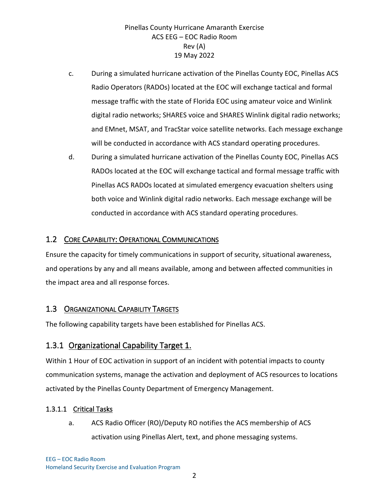- c. During a simulated hurricane activation of the Pinellas County EOC, Pinellas ACS Radio Operators (RADOs) located at the EOC will exchange tactical and formal message traffic with the state of Florida EOC using amateur voice and Winlink digital radio networks; SHARES voice and SHARES Winlink digital radio networks; and EMnet, MSAT, and TracStar voice satellite networks. Each message exchange will be conducted in accordance with ACS standard operating procedures.
- d. During a simulated hurricane activation of the Pinellas County EOC, Pinellas ACS RADOs located at the EOC will exchange tactical and formal message traffic with Pinellas ACS RADOs located at simulated emergency evacuation shelters using both voice and Winlink digital radio networks. Each message exchange will be conducted in accordance with ACS standard operating procedures.

### 1.2 CORE CAPABILITY: OPERATIONAL COMMUNICATIONS

Ensure the capacity for timely communications in support of security, situational awareness, and operations by any and all means available, among and between affected communities in the impact area and all response forces.

## 1.3 ORGANIZATIONAL CAPABILITY TARGETS

The following capability targets have been established for Pinellas ACS.

## 1.3.1 Organizational Capability Target 1.

Within 1 Hour of EOC activation in support of an incident with potential impacts to county communication systems, manage the activation and deployment of ACS resources to locations activated by the Pinellas County Department of Emergency Management.

## 1.3.1.1 Critical Tasks

a. ACS Radio Officer (RO)/Deputy RO notifies the ACS membership of ACS activation using Pinellas Alert, text, and phone messaging systems.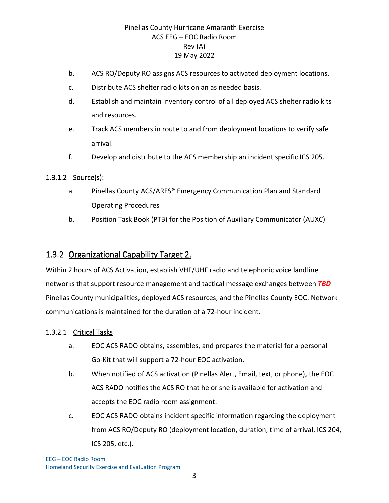- b. ACS RO/Deputy RO assigns ACS resources to activated deployment locations.
- c. Distribute ACS shelter radio kits on an as needed basis.
- d. Establish and maintain inventory control of all deployed ACS shelter radio kits and resources.
- e. Track ACS members in route to and from deployment locations to verify safe arrival.
- f. Develop and distribute to the ACS membership an incident specific ICS 205.

#### 1.3.1.2 Source(s):

- a. Pinellas County ACS/ARES® Emergency Communication Plan and Standard Operating Procedures
- b. Position Task Book (PTB) for the Position of Auxiliary Communicator (AUXC)

## 1.3.2 Organizational Capability Target 2.

Within 2 hours of ACS Activation, establish VHF/UHF radio and telephonic voice landline networks that support resource management and tactical message exchanges between *TBD* Pinellas County municipalities, deployed ACS resources, and the Pinellas County EOC. Network communications is maintained for the duration of a 72-hour incident.

#### 1.3.2.1 Critical Tasks

- a. EOC ACS RADO obtains, assembles, and prepares the material for a personal Go-Kit that will support a 72-hour EOC activation.
- b. When notified of ACS activation (Pinellas Alert, Email, text, or phone), the EOC ACS RADO notifies the ACS RO that he or she is available for activation and accepts the EOC radio room assignment.
- c. EOC ACS RADO obtains incident specific information regarding the deployment from ACS RO/Deputy RO (deployment location, duration, time of arrival, ICS 204, ICS 205, etc.).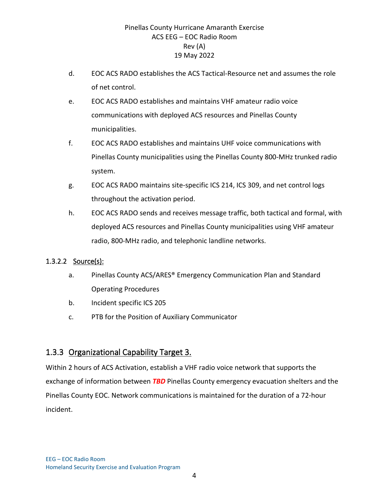- d. EOC ACS RADO establishes the ACS Tactical-Resource net and assumes the role of net control.
- e. EOC ACS RADO establishes and maintains VHF amateur radio voice communications with deployed ACS resources and Pinellas County municipalities.
- f. EOC ACS RADO establishes and maintains UHF voice communications with Pinellas County municipalities using the Pinellas County 800-MHz trunked radio system.
- g. EOC ACS RADO maintains site-specific ICS 214, ICS 309, and net control logs throughout the activation period.
- h. EOC ACS RADO sends and receives message traffic, both tactical and formal, with deployed ACS resources and Pinellas County municipalities using VHF amateur radio, 800-MHz radio, and telephonic landline networks.

#### 1.3.2.2 Source(s):

- a. Pinellas County ACS/ARES® Emergency Communication Plan and Standard Operating Procedures
- b. Incident specific ICS 205
- c. PTB for the Position of Auxiliary Communicator

## 1.3.3 Organizational Capability Target 3.

Within 2 hours of ACS Activation, establish a VHF radio voice network that supports the exchange of information between *TBD* Pinellas County emergency evacuation shelters and the Pinellas County EOC. Network communications is maintained for the duration of a 72-hour incident.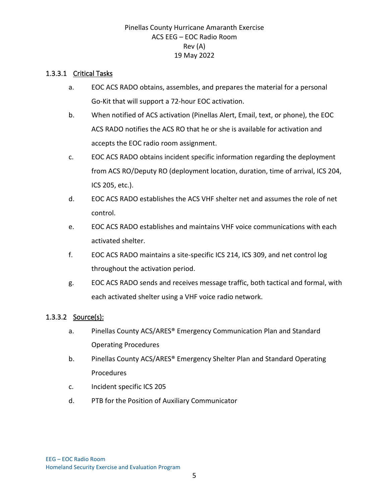#### 1.3.3.1 Critical Tasks

- a. EOC ACS RADO obtains, assembles, and prepares the material for a personal Go-Kit that will support a 72-hour EOC activation.
- b. When notified of ACS activation (Pinellas Alert, Email, text, or phone), the EOC ACS RADO notifies the ACS RO that he or she is available for activation and accepts the EOC radio room assignment.
- c. EOC ACS RADO obtains incident specific information regarding the deployment from ACS RO/Deputy RO (deployment location, duration, time of arrival, ICS 204, ICS 205, etc.).
- d. EOC ACS RADO establishes the ACS VHF shelter net and assumes the role of net control.
- e. EOC ACS RADO establishes and maintains VHF voice communications with each activated shelter.
- f. EOC ACS RADO maintains a site-specific ICS 214, ICS 309, and net control log throughout the activation period.
- g. EOC ACS RADO sends and receives message traffic, both tactical and formal, with each activated shelter using a VHF voice radio network.

#### 1.3.3.2 Source(s):

- a. Pinellas County ACS/ARES® Emergency Communication Plan and Standard Operating Procedures
- b. Pinellas County ACS/ARES® Emergency Shelter Plan and Standard Operating Procedures
- c. Incident specific ICS 205
- d. PTB for the Position of Auxiliary Communicator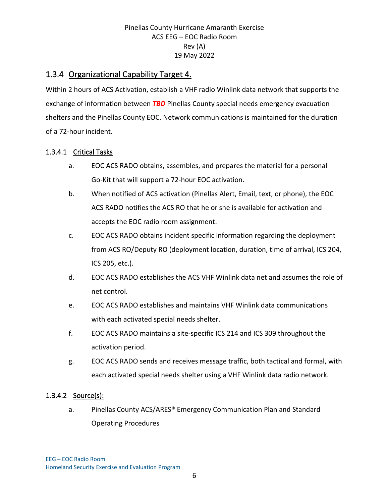## 1.3.4 Organizational Capability Target 4.

Within 2 hours of ACS Activation, establish a VHF radio Winlink data network that supports the exchange of information between *TBD* Pinellas County special needs emergency evacuation shelters and the Pinellas County EOC. Network communications is maintained for the duration of a 72-hour incident.

#### 1.3.4.1 Critical Tasks

- a. EOC ACS RADO obtains, assembles, and prepares the material for a personal Go-Kit that will support a 72-hour EOC activation.
- b. When notified of ACS activation (Pinellas Alert, Email, text, or phone), the EOC ACS RADO notifies the ACS RO that he or she is available for activation and accepts the EOC radio room assignment.
- c. EOC ACS RADO obtains incident specific information regarding the deployment from ACS RO/Deputy RO (deployment location, duration, time of arrival, ICS 204, ICS 205, etc.).
- d. EOC ACS RADO establishes the ACS VHF Winlink data net and assumes the role of net control.
- e. EOC ACS RADO establishes and maintains VHF Winlink data communications with each activated special needs shelter.
- f. EOC ACS RADO maintains a site-specific ICS 214 and ICS 309 throughout the activation period.
- g. EOC ACS RADO sends and receives message traffic, both tactical and formal, with each activated special needs shelter using a VHF Winlink data radio network.

#### 1.3.4.2 Source(s):

a. Pinellas County ACS/ARES® Emergency Communication Plan and Standard Operating Procedures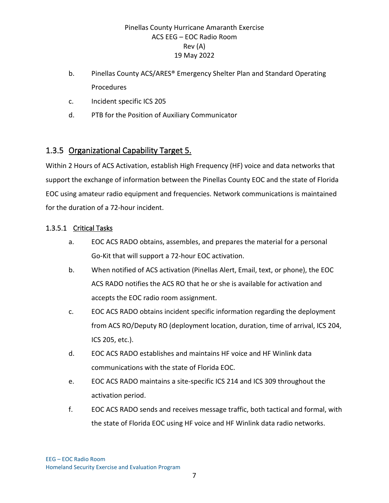- b. Pinellas County ACS/ARES® Emergency Shelter Plan and Standard Operating Procedures
- c. Incident specific ICS 205
- d. PTB for the Position of Auxiliary Communicator

## 1.3.5 Organizational Capability Target 5.

Within 2 Hours of ACS Activation, establish High Frequency (HF) voice and data networks that support the exchange of information between the Pinellas County EOC and the state of Florida EOC using amateur radio equipment and frequencies. Network communications is maintained for the duration of a 72-hour incident.

#### 1.3.5.1 Critical Tasks

- a. EOC ACS RADO obtains, assembles, and prepares the material for a personal Go-Kit that will support a 72-hour EOC activation.
- b. When notified of ACS activation (Pinellas Alert, Email, text, or phone), the EOC ACS RADO notifies the ACS RO that he or she is available for activation and accepts the EOC radio room assignment.
- c. EOC ACS RADO obtains incident specific information regarding the deployment from ACS RO/Deputy RO (deployment location, duration, time of arrival, ICS 204, ICS 205, etc.).
- d. EOC ACS RADO establishes and maintains HF voice and HF Winlink data communications with the state of Florida EOC.
- e. EOC ACS RADO maintains a site-specific ICS 214 and ICS 309 throughout the activation period.
- f. EOC ACS RADO sends and receives message traffic, both tactical and formal, with the state of Florida EOC using HF voice and HF Winlink data radio networks.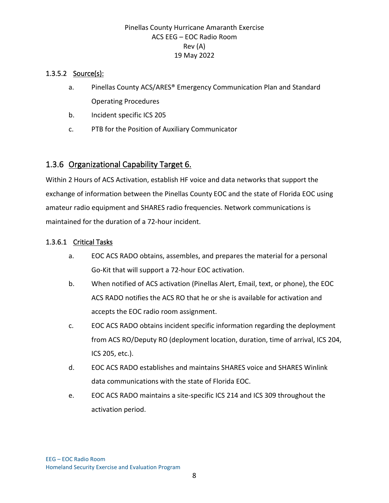#### 1.3.5.2 Source(s):

- a. Pinellas County ACS/ARES® Emergency Communication Plan and Standard Operating Procedures
- b. Incident specific ICS 205
- c. PTB for the Position of Auxiliary Communicator

## 1.3.6 Organizational Capability Target 6.

Within 2 Hours of ACS Activation, establish HF voice and data networks that support the exchange of information between the Pinellas County EOC and the state of Florida EOC using amateur radio equipment and SHARES radio frequencies. Network communications is maintained for the duration of a 72-hour incident.

#### 1.3.6.1 Critical Tasks

- a. EOC ACS RADO obtains, assembles, and prepares the material for a personal Go-Kit that will support a 72-hour EOC activation.
- b. When notified of ACS activation (Pinellas Alert, Email, text, or phone), the EOC ACS RADO notifies the ACS RO that he or she is available for activation and accepts the EOC radio room assignment.
- c. EOC ACS RADO obtains incident specific information regarding the deployment from ACS RO/Deputy RO (deployment location, duration, time of arrival, ICS 204, ICS 205, etc.).
- d. EOC ACS RADO establishes and maintains SHARES voice and SHARES Winlink data communications with the state of Florida EOC.
- e. EOC ACS RADO maintains a site-specific ICS 214 and ICS 309 throughout the activation period.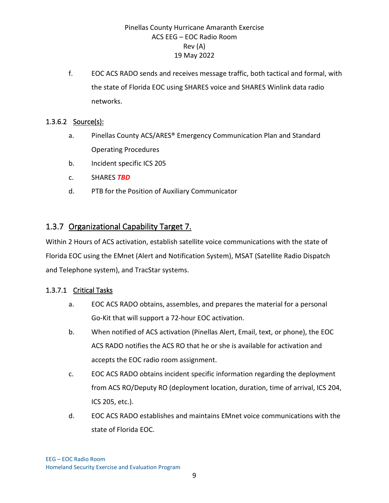f. EOC ACS RADO sends and receives message traffic, both tactical and formal, with the state of Florida EOC using SHARES voice and SHARES Winlink data radio networks.

#### 1.3.6.2 Source(s):

- a. Pinellas County ACS/ARES® Emergency Communication Plan and Standard Operating Procedures
- b. Incident specific ICS 205
- c. SHARES *TBD*
- d. PTB for the Position of Auxiliary Communicator

## 1.3.7 Organizational Capability Target 7.

Within 2 Hours of ACS activation, establish satellite voice communications with the state of Florida EOC using the EMnet (Alert and Notification System), MSAT (Satellite Radio Dispatch and Telephone system), and TracStar systems.

#### 1.3.7.1 Critical Tasks

- a. EOC ACS RADO obtains, assembles, and prepares the material for a personal Go-Kit that will support a 72-hour EOC activation.
- b. When notified of ACS activation (Pinellas Alert, Email, text, or phone), the EOC ACS RADO notifies the ACS RO that he or she is available for activation and accepts the EOC radio room assignment.
- c. EOC ACS RADO obtains incident specific information regarding the deployment from ACS RO/Deputy RO (deployment location, duration, time of arrival, ICS 204, ICS 205, etc.).
- d. EOC ACS RADO establishes and maintains EMnet voice communications with the state of Florida EOC.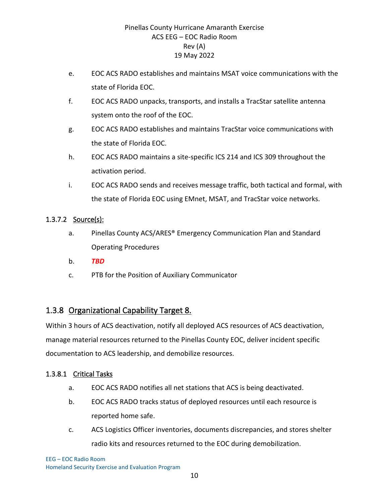- e. EOC ACS RADO establishes and maintains MSAT voice communications with the state of Florida EOC.
- f. EOC ACS RADO unpacks, transports, and installs a TracStar satellite antenna system onto the roof of the EOC.
- g. EOC ACS RADO establishes and maintains TracStar voice communications with the state of Florida EOC.
- h. EOC ACS RADO maintains a site-specific ICS 214 and ICS 309 throughout the activation period.
- i. EOC ACS RADO sends and receives message traffic, both tactical and formal, with the state of Florida EOC using EMnet, MSAT, and TracStar voice networks.

#### 1.3.7.2 Source(s):

- a. Pinellas County ACS/ARES® Emergency Communication Plan and Standard Operating Procedures
- b. *TBD*
- c. PTB for the Position of Auxiliary Communicator

## 1.3.8 Organizational Capability Target 8.

Within 3 hours of ACS deactivation, notify all deployed ACS resources of ACS deactivation, manage material resources returned to the Pinellas County EOC, deliver incident specific documentation to ACS leadership, and demobilize resources.

#### 1.3.8.1 Critical Tasks

- a. EOC ACS RADO notifies all net stations that ACS is being deactivated.
- b. EOC ACS RADO tracks status of deployed resources until each resource is reported home safe.
- c. ACS Logistics Officer inventories, documents discrepancies, and stores shelter radio kits and resources returned to the EOC during demobilization.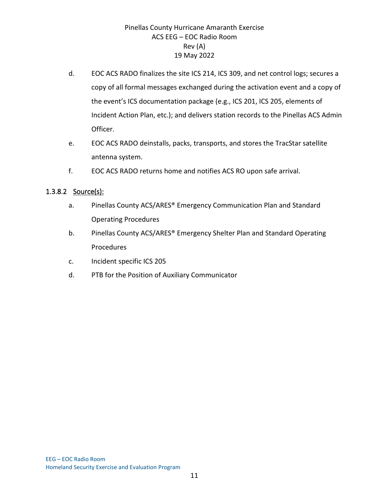- d. EOC ACS RADO finalizes the site ICS 214, ICS 309, and net control logs; secures a copy of all formal messages exchanged during the activation event and a copy of the event's ICS documentation package (e.g., ICS 201, ICS 205, elements of Incident Action Plan, etc.); and delivers station records to the Pinellas ACS Admin Officer.
- e. EOC ACS RADO deinstalls, packs, transports, and stores the TracStar satellite antenna system.
- f. EOC ACS RADO returns home and notifies ACS RO upon safe arrival.

#### 1.3.8.2 Source(s):

- a. Pinellas County ACS/ARES® Emergency Communication Plan and Standard Operating Procedures
- b. Pinellas County ACS/ARES® Emergency Shelter Plan and Standard Operating Procedures
- c. Incident specific ICS 205
- d. PTB for the Position of Auxiliary Communicator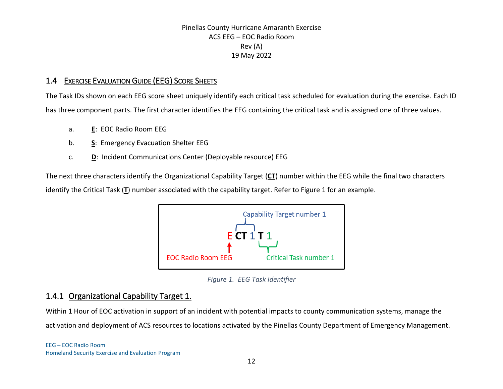## 1.4 EXERCISE EVALUATION GUIDE (EEG) SCORE SHEETS

The Task IDs shown on each EEG score sheet uniquely identify each critical task scheduled for evaluation during the exercise. Each ID has three component parts. The first character identifies the EEG containing the critical task and is assigned one of three values.

- a. **E**: EOC Radio Room EEG
- b. **S**: Emergency Evacuation Shelter EEG
- c. **D**: Incident Communications Center (Deployable resource) EEG

The next three characters identify the Organizational Capability Target (**CT**) number within the EEG while the final two characters identify the Critical Task (**T**) number associated with the capability target. Refer to [Figure 1](#page-14-0) for an example.



*Figure 1. EEG Task Identifier*

### <span id="page-14-0"></span>1.4.1 Organizational Capability Target 1.

Within 1 Hour of EOC activation in support of an incident with potential impacts to county communication systems, manage the activation and deployment of ACS resources to locations activated by the Pinellas County Department of Emergency Management.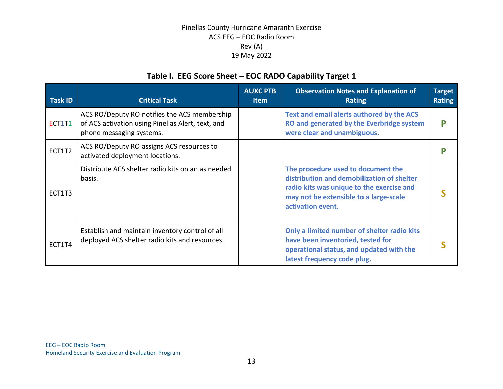## **Table I. EEG Score Sheet – EOC RADO Capability Target 1**

| <b>Task ID</b> | <b>Critical Task</b>                                                                                                          | <b>AUXC PTB</b><br><b>Item</b> | <b>Observation Notes and Explanation of</b><br><b>Rating</b>                                                                                                                                 | <b>Target</b><br><b>Rating</b> |
|----------------|-------------------------------------------------------------------------------------------------------------------------------|--------------------------------|----------------------------------------------------------------------------------------------------------------------------------------------------------------------------------------------|--------------------------------|
| ECT1T1         | ACS RO/Deputy RO notifies the ACS membership<br>of ACS activation using Pinellas Alert, text, and<br>phone messaging systems. |                                | Text and email alerts authored by the ACS<br>RO and generated by the Everbridge system<br>were clear and unambiguous.                                                                        | P                              |
| ECT1T2         | ACS RO/Deputy RO assigns ACS resources to<br>activated deployment locations.                                                  |                                |                                                                                                                                                                                              |                                |
| ECT1T3         | Distribute ACS shelter radio kits on an as needed<br>basis.                                                                   |                                | The procedure used to document the<br>distribution and demobilization of shelter<br>radio kits was unique to the exercise and<br>may not be extensible to a large-scale<br>activation event. |                                |
| ECT1T4         | Establish and maintain inventory control of all<br>deployed ACS shelter radio kits and resources.                             |                                | Only a limited number of shelter radio kits<br>have been inventoried, tested for<br>operational status, and updated with the<br>latest frequency code plug.                                  |                                |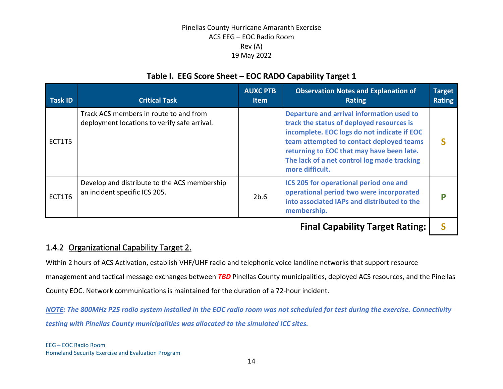## **Table I. EEG Score Sheet – EOC RADO Capability Target 1**

| Task ID | <b>Critical Task</b>                                                                   | <b>AUXC PTB</b><br><b>Item</b> | <b>Observation Notes and Explanation of</b><br><b>Rating</b>                                                                                                                                                                                                                                     | <b>Target</b><br><b>Rating</b> |
|---------|----------------------------------------------------------------------------------------|--------------------------------|--------------------------------------------------------------------------------------------------------------------------------------------------------------------------------------------------------------------------------------------------------------------------------------------------|--------------------------------|
| ECT1T5  | Track ACS members in route to and from<br>deployment locations to verify safe arrival. |                                | Departure and arrival information used to<br>track the status of deployed resources is<br>incomplete. EOC logs do not indicate if EOC<br>team attempted to contact deployed teams<br>returning to EOC that may have been late.<br>The lack of a net control log made tracking<br>more difficult. |                                |
| ECT1T6  | Develop and distribute to the ACS membership<br>an incident specific ICS 205.          | 2b.6                           | ICS 205 for operational period one and<br>operational period two were incorporated<br>into associated IAPs and distributed to the<br>membership.                                                                                                                                                 |                                |

**Final Capability Target Rating: | S** 

## 1.4.2 Organizational Capability Target 2.

Within 2 hours of ACS Activation, establish VHF/UHF radio and telephonic voice landline networks that support resource management and tactical message exchanges between *TBD* Pinellas County municipalities, deployed ACS resources, and the Pinellas County EOC. Network communications is maintained for the duration of a 72-hour incident.

*NOTE: The 800MHz P25 radio system installed in the EOC radio room was not scheduled for test during the exercise. Connectivity testing with Pinellas County municipalities was allocated to the simulated ICC sites.*

EEG – EOC Radio Room Homeland Security Exercise and Evaluation Program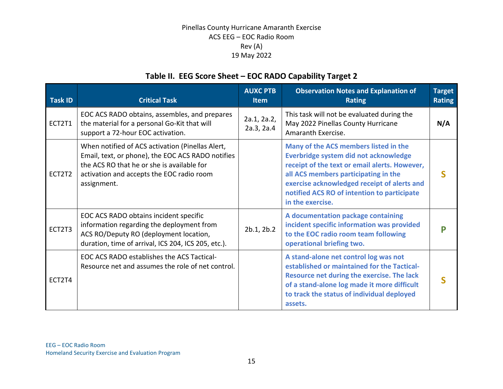## **Table II. EEG Score Sheet – EOC RADO Capability Target 2**

| <b>Task ID</b> | <b>Critical Task</b>                                                                                                                                                                                            | <b>AUXC PTB</b><br><b>Item</b> | <b>Observation Notes and Explanation of</b><br><b>Rating</b>                                                                                                                                                                                                                              | <b>Target</b><br><b>Rating</b> |
|----------------|-----------------------------------------------------------------------------------------------------------------------------------------------------------------------------------------------------------------|--------------------------------|-------------------------------------------------------------------------------------------------------------------------------------------------------------------------------------------------------------------------------------------------------------------------------------------|--------------------------------|
| ECT2T1         | EOC ACS RADO obtains, assembles, and prepares<br>the material for a personal Go-Kit that will<br>support a 72-hour EOC activation.                                                                              | 2a.1, 2a.2,<br>2a.3, 2a.4      | This task will not be evaluated during the<br>May 2022 Pinellas County Hurricane<br>Amaranth Exercise.                                                                                                                                                                                    | N/A                            |
| ECT2T2         | When notified of ACS activation (Pinellas Alert,<br>Email, text, or phone), the EOC ACS RADO notifies<br>the ACS RO that he or she is available for<br>activation and accepts the EOC radio room<br>assignment. |                                | Many of the ACS members listed in the<br>Everbridge system did not acknowledge<br>receipt of the text or email alerts. However,<br>all ACS members participating in the<br>exercise acknowledged receipt of alerts and<br>notified ACS RO of intention to participate<br>in the exercise. |                                |
| ECT2T3         | EOC ACS RADO obtains incident specific<br>information regarding the deployment from<br>ACS RO/Deputy RO (deployment location,<br>duration, time of arrival, ICS 204, ICS 205, etc.).                            | 2b.1, 2b.2                     | A documentation package containing<br>incident specific information was provided<br>to the EOC radio room team following<br>operational briefing two.                                                                                                                                     |                                |
| ECT2T4         | EOC ACS RADO establishes the ACS Tactical-<br>Resource net and assumes the role of net control.                                                                                                                 |                                | A stand-alone net control log was not<br>established or maintained for the Tactical-<br>Resource net during the exercise. The lack<br>of a stand-alone log made it more difficult<br>to track the status of individual deployed<br>assets.                                                |                                |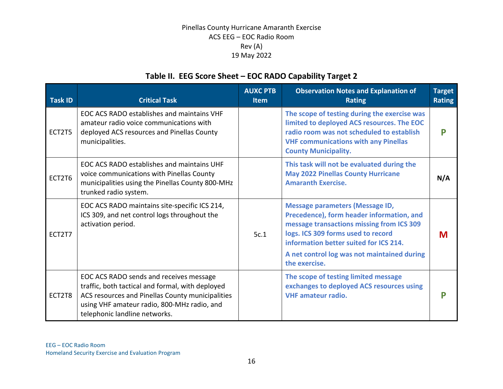## **Table II. EEG Score Sheet – EOC RADO Capability Target 2**

| <b>Task ID</b> | <b>Critical Task</b>                                                                                                                                                                                                            | <b>AUXC PTB</b><br><b>Item</b> | <b>Observation Notes and Explanation of</b><br><b>Rating</b>                                                                                                                                                                                                                     | <b>Target</b><br><b>Rating</b> |
|----------------|---------------------------------------------------------------------------------------------------------------------------------------------------------------------------------------------------------------------------------|--------------------------------|----------------------------------------------------------------------------------------------------------------------------------------------------------------------------------------------------------------------------------------------------------------------------------|--------------------------------|
| ECT2T5         | EOC ACS RADO establishes and maintains VHF<br>amateur radio voice communications with<br>deployed ACS resources and Pinellas County<br>municipalities.                                                                          |                                | The scope of testing during the exercise was<br>limited to deployed ACS resources. The EOC<br>radio room was not scheduled to establish<br><b>VHF communications with any Pinellas</b><br><b>County Municipality.</b>                                                            | р                              |
| ECT2T6         | EOC ACS RADO establishes and maintains UHF<br>voice communications with Pinellas County<br>municipalities using the Pinellas County 800-MHz<br>trunked radio system.                                                            |                                | This task will not be evaluated during the<br><b>May 2022 Pinellas County Hurricane</b><br><b>Amaranth Exercise.</b>                                                                                                                                                             | N/A                            |
| ECT2T7         | EOC ACS RADO maintains site-specific ICS 214,<br>ICS 309, and net control logs throughout the<br>activation period.                                                                                                             | 5c.1                           | <b>Message parameters (Message ID,</b><br>Precedence), form header information, and<br>message transactions missing from ICS 309<br>logs. ICS 309 forms used to record<br>information better suited for ICS 214.<br>A net control log was not maintained during<br>the exercise. | M                              |
| ECT2T8         | EOC ACS RADO sends and receives message<br>traffic, both tactical and formal, with deployed<br>ACS resources and Pinellas County municipalities<br>using VHF amateur radio, 800-MHz radio, and<br>telephonic landline networks. |                                | The scope of testing limited message<br>exchanges to deployed ACS resources using<br><b>VHF</b> amateur radio.                                                                                                                                                                   | D                              |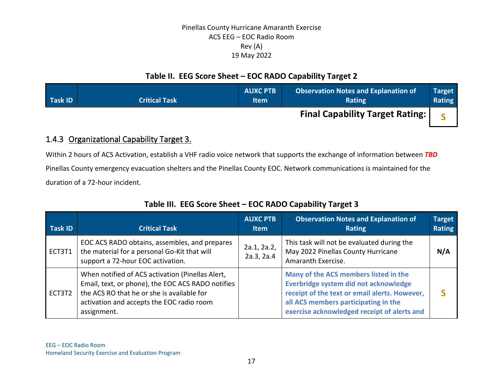## **Table II. EEG Score Sheet – EOC RADO Capability Target 2**

| <b>Task ID</b> | <b>Critical Task</b> | <b>AUXC PTB</b><br><b>Item</b> | <b>Observation Notes and Explanation of</b><br><b>Rating</b> | <b>Target</b><br><b>Rating</b> |
|----------------|----------------------|--------------------------------|--------------------------------------------------------------|--------------------------------|
|                |                      |                                | <b>Final Capability Target Rating:  </b>                     |                                |

## 1.4.3 Organizational Capability Target 3.

Within 2 hours of ACS Activation, establish a VHF radio voice network that supports the exchange of information between *TBD* Pinellas County emergency evacuation shelters and the Pinellas County EOC. Network communications is maintained for the duration of a 72-hour incident.

| <b>Task ID</b> | <b>Critical Task</b>                                                                                                                                                                                            | <b>AUXC PTB</b><br><b>Item</b> | <b>Observation Notes and Explanation of</b><br><b>Rating</b>                                                                                                                                                           | <b>Target</b><br><b>Rating</b> |
|----------------|-----------------------------------------------------------------------------------------------------------------------------------------------------------------------------------------------------------------|--------------------------------|------------------------------------------------------------------------------------------------------------------------------------------------------------------------------------------------------------------------|--------------------------------|
| ECT3T1         | EOC ACS RADO obtains, assembles, and prepares<br>the material for a personal Go-Kit that will<br>support a 72-hour EOC activation.                                                                              | 2a.1, 2a.2,<br>2a.3, 2a.4      | This task will not be evaluated during the<br>May 2022 Pinellas County Hurricane<br>Amaranth Exercise.                                                                                                                 | N/A                            |
| ECT3T2         | When notified of ACS activation (Pinellas Alert,<br>Email, text, or phone), the EOC ACS RADO notifies<br>the ACS RO that he or she is available for<br>activation and accepts the EOC radio room<br>assignment. |                                | Many of the ACS members listed in the<br>Everbridge system did not acknowledge<br>receipt of the text or email alerts. However,<br>all ACS members participating in the<br>exercise acknowledged receipt of alerts and |                                |

## **Table III. EEG Score Sheet – EOC RADO Capability Target 3**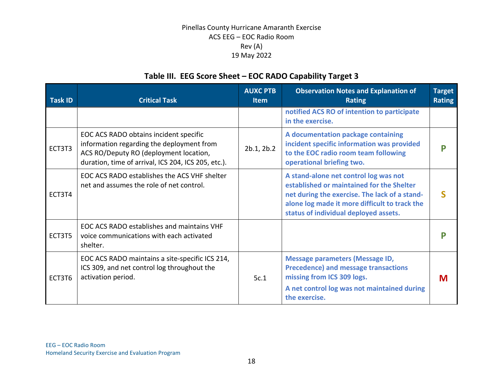## **Table III. EEG Score Sheet – EOC RADO Capability Target 3**

| <b>Task ID</b> | <b>Critical Task</b>                                                                                                                                                                 | <b>AUXC PTB</b><br><b>Item</b> | <b>Observation Notes and Explanation of</b><br><b>Rating</b>                                                                                                                                                                  | <b>Target</b><br><b>Rating</b> |
|----------------|--------------------------------------------------------------------------------------------------------------------------------------------------------------------------------------|--------------------------------|-------------------------------------------------------------------------------------------------------------------------------------------------------------------------------------------------------------------------------|--------------------------------|
|                |                                                                                                                                                                                      |                                | notified ACS RO of intention to participate<br>in the exercise.                                                                                                                                                               |                                |
| ECT3T3         | EOC ACS RADO obtains incident specific<br>information regarding the deployment from<br>ACS RO/Deputy RO (deployment location,<br>duration, time of arrival, ICS 204, ICS 205, etc.). | 2b.1, 2b.2                     | A documentation package containing<br>incident specific information was provided<br>to the EOC radio room team following<br>operational briefing two.                                                                         |                                |
| ECT3T4         | EOC ACS RADO establishes the ACS VHF shelter<br>net and assumes the role of net control.                                                                                             |                                | A stand-alone net control log was not<br>established or maintained for the Shelter<br>net during the exercise. The lack of a stand-<br>alone log made it more difficult to track the<br>status of individual deployed assets. |                                |
| ECT3T5         | EOC ACS RADO establishes and maintains VHF<br>voice communications with each activated<br>shelter.                                                                                   |                                |                                                                                                                                                                                                                               |                                |
| ECT3T6         | EOC ACS RADO maintains a site-specific ICS 214,<br>ICS 309, and net control log throughout the<br>activation period.                                                                 | 5c.1                           | <b>Message parameters (Message ID,</b><br><b>Precedence) and message transactions</b><br>missing from ICS 309 logs.<br>A net control log was not maintained during<br>the exercise.                                           | M                              |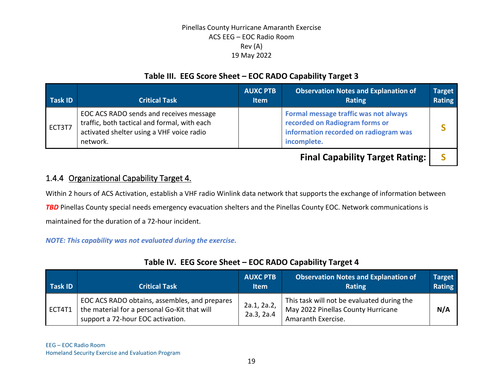## **Table III. EEG Score Sheet – EOC RADO Capability Target 3**

| <b>Task ID</b> | <b>Critical Task</b>                                                                                                                             | <b>AUXC PTB</b><br><b>Item</b> | <b>Observation Notes and Explanation of</b><br>Rating                                                                           | <b>Target</b><br><b>Rating</b> |
|----------------|--------------------------------------------------------------------------------------------------------------------------------------------------|--------------------------------|---------------------------------------------------------------------------------------------------------------------------------|--------------------------------|
| ECT3T7         | EOC ACS RADO sends and receives message<br>traffic, both tactical and formal, with each<br>activated shelter using a VHF voice radio<br>network. |                                | Formal message traffic was not always<br>recorded on Radiogram forms or<br>information recorded on radiogram was<br>incomplete. |                                |
|                |                                                                                                                                                  |                                |                                                                                                                                 |                                |

**Final Capability Target Rating: | S** 

## 1.4.4 Organizational Capability Target 4.

Within 2 hours of ACS Activation, establish a VHF radio Winlink data network that supports the exchange of information between

**TBD** Pinellas County special needs emergency evacuation shelters and the Pinellas County EOC. Network communications is

maintained for the duration of a 72-hour incident.

#### *NOTE: This capability was not evaluated during the exercise.*

| Task ID | <b>Critical Task</b>                                                                                                               | <b>AUXC PTB</b><br><b>Item</b> | <b>Observation Notes and Explanation of</b><br><b>Rating</b>                                           | Target<br>Rating |
|---------|------------------------------------------------------------------------------------------------------------------------------------|--------------------------------|--------------------------------------------------------------------------------------------------------|------------------|
| ECT4T1  | EOC ACS RADO obtains, assembles, and prepares<br>the material for a personal Go-Kit that will<br>support a 72-hour EOC activation. | 2a.1, 2a.2,<br>2a.3, 2a.4      | This task will not be evaluated during the<br>May 2022 Pinellas County Hurricane<br>Amaranth Exercise. | N/A              |

### **Table IV. EEG Score Sheet – EOC RADO Capability Target 4**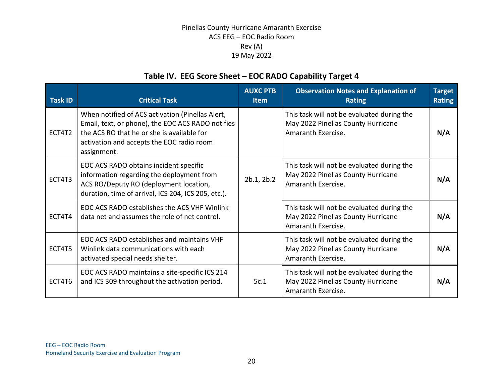## **Table IV. EEG Score Sheet – EOC RADO Capability Target 4**

|                |                                                                                                                                                                                                                 | <b>AUXC PTB</b> | <b>Observation Notes and Explanation of</b>                                                            | <b>Target</b> |
|----------------|-----------------------------------------------------------------------------------------------------------------------------------------------------------------------------------------------------------------|-----------------|--------------------------------------------------------------------------------------------------------|---------------|
| <b>Task ID</b> | <b>Critical Task</b>                                                                                                                                                                                            | <b>Item</b>     | <b>Rating</b>                                                                                          | <b>Rating</b> |
| ECT4T2         | When notified of ACS activation (Pinellas Alert,<br>Email, text, or phone), the EOC ACS RADO notifies<br>the ACS RO that he or she is available for<br>activation and accepts the EOC radio room<br>assignment. |                 | This task will not be evaluated during the<br>May 2022 Pinellas County Hurricane<br>Amaranth Exercise. | N/A           |
| ECT4T3         | EOC ACS RADO obtains incident specific<br>information regarding the deployment from<br>ACS RO/Deputy RO (deployment location,<br>duration, time of arrival, ICS 204, ICS 205, etc.).                            | 2b.1, 2b.2      | This task will not be evaluated during the<br>May 2022 Pinellas County Hurricane<br>Amaranth Exercise. | N/A           |
| ECT4T4         | EOC ACS RADO establishes the ACS VHF Winlink<br>data net and assumes the role of net control.                                                                                                                   |                 | This task will not be evaluated during the<br>May 2022 Pinellas County Hurricane<br>Amaranth Exercise. | N/A           |
| ECT4T5         | EOC ACS RADO establishes and maintains VHF<br>Winlink data communications with each<br>activated special needs shelter.                                                                                         |                 | This task will not be evaluated during the<br>May 2022 Pinellas County Hurricane<br>Amaranth Exercise. | N/A           |
| ECT4T6         | EOC ACS RADO maintains a site-specific ICS 214<br>and ICS 309 throughout the activation period.                                                                                                                 | 5c.1            | This task will not be evaluated during the<br>May 2022 Pinellas County Hurricane<br>Amaranth Exercise. | N/A           |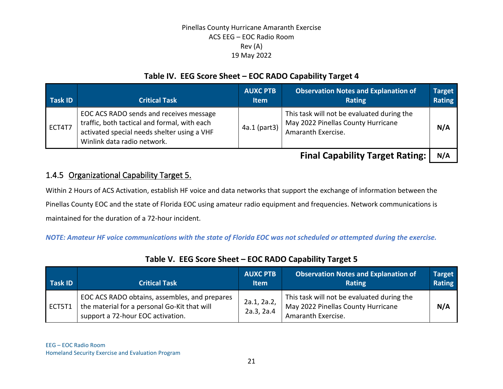## **Table IV. EEG Score Sheet – EOC RADO Capability Target 4**

| <b>Task ID</b> | <b>Critical Task</b>                                                                                                                                                  | <b>AUXC PTB</b><br><b>Item</b> | <b>Observation Notes and Explanation of</b><br><b>Rating</b>                                           | <b>Target</b><br><b>Rating</b> |
|----------------|-----------------------------------------------------------------------------------------------------------------------------------------------------------------------|--------------------------------|--------------------------------------------------------------------------------------------------------|--------------------------------|
| ECT4T7         | EOC ACS RADO sends and receives message<br>traffic, both tactical and formal, with each<br>activated special needs shelter using a VHF<br>Winlink data radio network. | 4a.1 (part3)                   | This task will not be evaluated during the<br>May 2022 Pinellas County Hurricane<br>Amaranth Exercise. | N/A                            |

**Final Capability Target Rating: | N/A** 

## 1.4.5 Organizational Capability Target 5.

Within 2 Hours of ACS Activation, establish HF voice and data networks that support the exchange of information between the Pinellas County EOC and the state of Florida EOC using amateur radio equipment and frequencies. Network communications is maintained for the duration of a 72-hour incident.

*NOTE: Amateur HF voice communications with the state of Florida EOC was not scheduled or attempted during the exercise.*

| <b>Task ID</b> | <b>Critical Task</b>                                                                                                               | <b>AUXC PTB</b><br><b>Item</b> | <b>Observation Notes and Explanation of</b><br>Rating                                                  | Target<br><b>Rating</b> |
|----------------|------------------------------------------------------------------------------------------------------------------------------------|--------------------------------|--------------------------------------------------------------------------------------------------------|-------------------------|
| ECT5T1         | EOC ACS RADO obtains, assembles, and prepares<br>the material for a personal Go-Kit that will<br>support a 72-hour EOC activation. | 2a.1, 2a.2,<br>2a.3, 2a.4      | This task will not be evaluated during the<br>May 2022 Pinellas County Hurricane<br>Amaranth Exercise. | N/A                     |

## **Table V. EEG Score Sheet – EOC RADO Capability Target 5**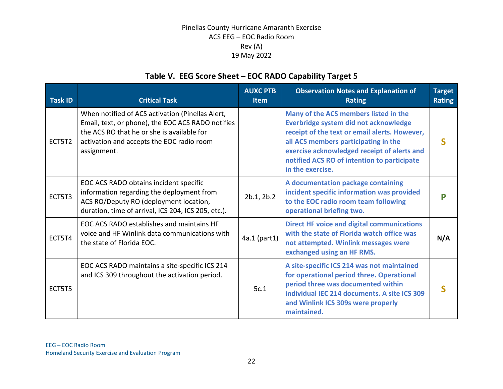## **Table V. EEG Score Sheet – EOC RADO Capability Target 5**

| <b>Task ID</b> | <b>Critical Task</b>                                                                                                                                                                                            | <b>AUXC PTB</b><br><b>Item</b> | <b>Observation Notes and Explanation of</b><br><b>Rating</b>                                                                                                                                                                                                                              | <b>Target</b><br><b>Rating</b> |
|----------------|-----------------------------------------------------------------------------------------------------------------------------------------------------------------------------------------------------------------|--------------------------------|-------------------------------------------------------------------------------------------------------------------------------------------------------------------------------------------------------------------------------------------------------------------------------------------|--------------------------------|
| ECT5T2         | When notified of ACS activation (Pinellas Alert,<br>Email, text, or phone), the EOC ACS RADO notifies<br>the ACS RO that he or she is available for<br>activation and accepts the EOC radio room<br>assignment. |                                | Many of the ACS members listed in the<br>Everbridge system did not acknowledge<br>receipt of the text or email alerts. However,<br>all ACS members participating in the<br>exercise acknowledged receipt of alerts and<br>notified ACS RO of intention to participate<br>in the exercise. |                                |
| ECT5T3         | EOC ACS RADO obtains incident specific<br>information regarding the deployment from<br>ACS RO/Deputy RO (deployment location,<br>duration, time of arrival, ICS 204, ICS 205, etc.).                            | 2b.1, 2b.2                     | A documentation package containing<br>incident specific information was provided<br>to the EOC radio room team following<br>operational briefing two.                                                                                                                                     |                                |
| ECT5T4         | EOC ACS RADO establishes and maintains HF<br>voice and HF Winlink data communications with<br>the state of Florida EOC.                                                                                         | 4a.1 (part1)                   | <b>Direct HF voice and digital communications</b><br>with the state of Florida watch office was<br>not attempted. Winlink messages were<br>exchanged using an HF RMS.                                                                                                                     | N/A                            |
| ECT5T5         | EOC ACS RADO maintains a site-specific ICS 214<br>and ICS 309 throughout the activation period.                                                                                                                 | 5c.1                           | A site-specific ICS 214 was not maintained<br>for operational period three. Operational<br>period three was documented within<br>individual IEC 214 documents. A site ICS 309<br>and Winlink ICS 309s were properly<br>maintained.                                                        |                                |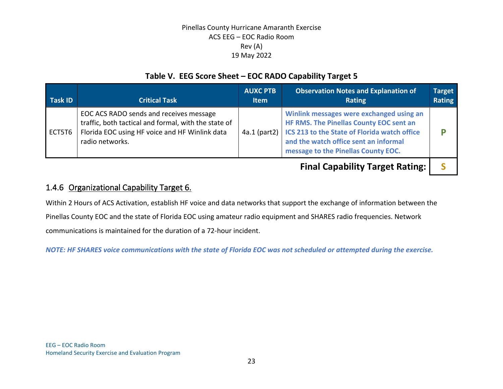## **Table V. EEG Score Sheet – EOC RADO Capability Target 5**

| Task ID | <b>Critical Task</b>                                                                                                                                                 | <b>AUXC PTB</b><br><b>Item</b> | <b>Observation Notes and Explanation of</b><br><b>Rating</b>                                                                                                                                                                       | <b>Target</b><br>Rating |
|---------|----------------------------------------------------------------------------------------------------------------------------------------------------------------------|--------------------------------|------------------------------------------------------------------------------------------------------------------------------------------------------------------------------------------------------------------------------------|-------------------------|
| ECT5T6  | EOC ACS RADO sends and receives message<br>traffic, both tactical and formal, with the state of<br>Florida EOC using HF voice and HF Winlink data<br>radio networks. |                                | Winlink messages were exchanged using an<br>HF RMS. The Pinellas County EOC sent an<br>4a.1 (part2)   ICS 213 to the State of Florida watch office<br>and the watch office sent an informal<br>message to the Pinellas County EOC. |                         |
|         |                                                                                                                                                                      |                                | <b>Final Capability Target Rating:</b>                                                                                                                                                                                             |                         |

1.4.6 Organizational Capability Target 6.

Within 2 Hours of ACS Activation, establish HF voice and data networks that support the exchange of information between the Pinellas County EOC and the state of Florida EOC using amateur radio equipment and SHARES radio frequencies. Network communications is maintained for the duration of a 72-hour incident.

*NOTE: HF SHARES voice communications with the state of Florida EOC was not scheduled or attempted during the exercise.*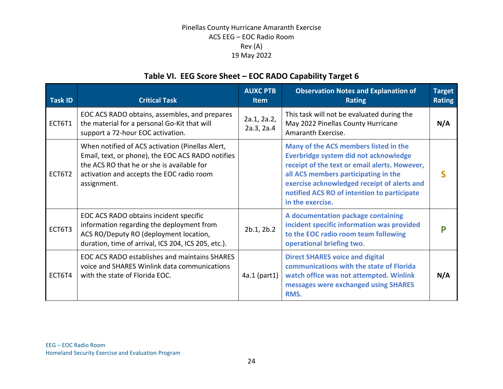## **Table VI. EEG Score Sheet – EOC RADO Capability Target 6**

| <b>Task ID</b> | <b>Critical Task</b>                                                                                                                                                                                            | <b>AUXC PTB</b><br><b>Item</b> | <b>Observation Notes and Explanation of</b><br><b>Rating</b>                                                                                                                                                                                                                              | <b>Target</b><br><b>Rating</b> |
|----------------|-----------------------------------------------------------------------------------------------------------------------------------------------------------------------------------------------------------------|--------------------------------|-------------------------------------------------------------------------------------------------------------------------------------------------------------------------------------------------------------------------------------------------------------------------------------------|--------------------------------|
| ECT6T1         | EOC ACS RADO obtains, assembles, and prepares<br>the material for a personal Go-Kit that will<br>support a 72-hour EOC activation.                                                                              | 2a.1, 2a.2,<br>2a.3, 2a.4      | This task will not be evaluated during the<br>May 2022 Pinellas County Hurricane<br>Amaranth Exercise.                                                                                                                                                                                    | N/A                            |
| ECT6T2         | When notified of ACS activation (Pinellas Alert,<br>Email, text, or phone), the EOC ACS RADO notifies<br>the ACS RO that he or she is available for<br>activation and accepts the EOC radio room<br>assignment. |                                | Many of the ACS members listed in the<br>Everbridge system did not acknowledge<br>receipt of the text or email alerts. However,<br>all ACS members participating in the<br>exercise acknowledged receipt of alerts and<br>notified ACS RO of intention to participate<br>in the exercise. |                                |
| ECT6T3         | EOC ACS RADO obtains incident specific<br>information regarding the deployment from<br>ACS RO/Deputy RO (deployment location,<br>duration, time of arrival, ICS 204, ICS 205, etc.).                            | 2b.1, 2b.2                     | A documentation package containing<br>incident specific information was provided<br>to the EOC radio room team following<br>operational briefing two.                                                                                                                                     |                                |
| ECT6T4         | EOC ACS RADO establishes and maintains SHARES<br>voice and SHARES Winlink data communications<br>with the state of Florida EOC.                                                                                 | 4a.1 (part1)                   | <b>Direct SHARES voice and digital</b><br>communications with the state of Florida<br>watch office was not attempted. Winlink<br>messages were exchanged using SHARES<br>RMS.                                                                                                             | N/A                            |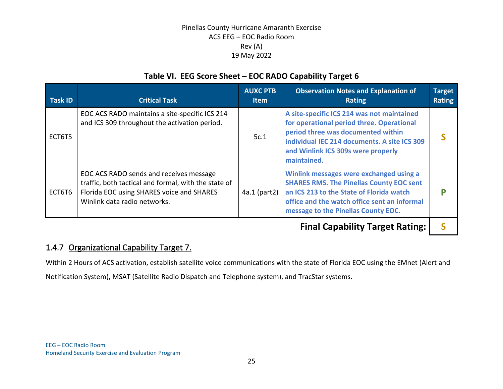## **Table VI. EEG Score Sheet – EOC RADO Capability Target 6**

| Task ID | <b>Critical Task</b>                                                                                                                                                         | <b>AUXC PTB</b><br><b>Item</b> | <b>Observation Notes and Explanation of</b><br><b>Rating</b>                                                                                                                                                                       | <b>Target</b><br><b>Rating</b> |
|---------|------------------------------------------------------------------------------------------------------------------------------------------------------------------------------|--------------------------------|------------------------------------------------------------------------------------------------------------------------------------------------------------------------------------------------------------------------------------|--------------------------------|
| ECT6T5  | EOC ACS RADO maintains a site-specific ICS 214<br>and ICS 309 throughout the activation period.                                                                              | 5c.1                           | A site-specific ICS 214 was not maintained<br>for operational period three. Operational<br>period three was documented within<br>individual IEC 214 documents. A site ICS 309<br>and Winlink ICS 309s were properly<br>maintained. |                                |
| ECT6T6  | EOC ACS RADO sends and receives message<br>traffic, both tactical and formal, with the state of<br>Florida EOC using SHARES voice and SHARES<br>Winlink data radio networks. | $4a.1$ (part2)                 | Winlink messages were exchanged using a<br><b>SHARES RMS. The Pinellas County EOC sent</b><br>an ICS 213 to the State of Florida watch<br>office and the watch office sent an informal<br>message to the Pinellas County EOC.      |                                |

**Final Capability Target Rating: | S** 

## 1.4.7 Organizational Capability Target 7.

Within 2 Hours of ACS activation, establish satellite voice communications with the state of Florida EOC using the EMnet (Alert and Notification System), MSAT (Satellite Radio Dispatch and Telephone system), and TracStar systems.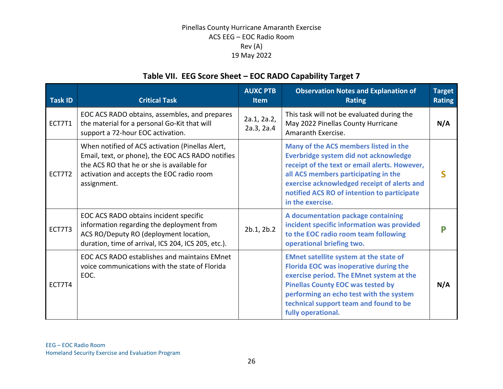## **Table VII. EEG Score Sheet – EOC RADO Capability Target 7**

| <b>Task ID</b> | <b>Critical Task</b>                                                                                                                                                                                            | <b>AUXC PTB</b><br><b>Item</b> | <b>Observation Notes and Explanation of</b><br><b>Rating</b>                                                                                                                                                                                                                               | <b>Target</b><br><b>Rating</b> |
|----------------|-----------------------------------------------------------------------------------------------------------------------------------------------------------------------------------------------------------------|--------------------------------|--------------------------------------------------------------------------------------------------------------------------------------------------------------------------------------------------------------------------------------------------------------------------------------------|--------------------------------|
| ECT7T1         | EOC ACS RADO obtains, assembles, and prepares<br>the material for a personal Go-Kit that will<br>support a 72-hour EOC activation.                                                                              | 2a.1, 2a.2,<br>2a.3, 2a.4      | This task will not be evaluated during the<br>May 2022 Pinellas County Hurricane<br>Amaranth Exercise.                                                                                                                                                                                     | N/A                            |
| ECT7T2         | When notified of ACS activation (Pinellas Alert,<br>Email, text, or phone), the EOC ACS RADO notifies<br>the ACS RO that he or she is available for<br>activation and accepts the EOC radio room<br>assignment. |                                | Many of the ACS members listed in the<br>Everbridge system did not acknowledge<br>receipt of the text or email alerts. However,<br>all ACS members participating in the<br>exercise acknowledged receipt of alerts and<br>notified ACS RO of intention to participate<br>in the exercise.  |                                |
| ECT7T3         | EOC ACS RADO obtains incident specific<br>information regarding the deployment from<br>ACS RO/Deputy RO (deployment location,<br>duration, time of arrival, ICS 204, ICS 205, etc.).                            | 2b.1, 2b.2                     | A documentation package containing<br>incident specific information was provided<br>to the EOC radio room team following<br>operational briefing two.                                                                                                                                      |                                |
| ECT7T4         | EOC ACS RADO establishes and maintains EMnet<br>voice communications with the state of Florida<br>EOC.                                                                                                          |                                | <b>EMnet satellite system at the state of</b><br>Florida EOC was inoperative during the<br>exercise period. The EMnet system at the<br><b>Pinellas County EOC was tested by</b><br>performing an echo test with the system<br>technical support team and found to be<br>fully operational. | N/A                            |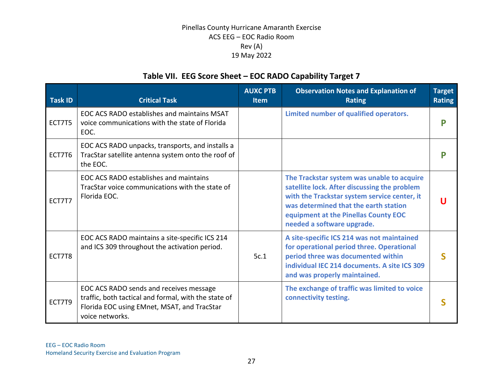## **Table VII. EEG Score Sheet – EOC RADO Capability Target 7**

| <b>Task ID</b> | <b>Critical Task</b>                                                                                                                                              | <b>AUXC PTB</b><br><b>Item</b> | <b>Observation Notes and Explanation of</b><br><b>Rating</b>                                                                                                                                                                                              | <b>Target</b><br><b>Rating</b> |
|----------------|-------------------------------------------------------------------------------------------------------------------------------------------------------------------|--------------------------------|-----------------------------------------------------------------------------------------------------------------------------------------------------------------------------------------------------------------------------------------------------------|--------------------------------|
| ECT7T5         | EOC ACS RADO establishes and maintains MSAT<br>voice communications with the state of Florida<br>EOC.                                                             |                                | Limited number of qualified operators.                                                                                                                                                                                                                    | P                              |
| ECT7T6         | EOC ACS RADO unpacks, transports, and installs a<br>TracStar satellite antenna system onto the roof of<br>the EOC.                                                |                                |                                                                                                                                                                                                                                                           |                                |
| ECT7T7         | EOC ACS RADO establishes and maintains<br>TracStar voice communications with the state of<br>Florida EOC.                                                         |                                | The Trackstar system was unable to acquire<br>satellite lock. After discussing the problem<br>with the Trackstar system service center, it<br>was determined that the earth station<br>equipment at the Pinellas County EOC<br>needed a software upgrade. |                                |
| ECT7T8         | EOC ACS RADO maintains a site-specific ICS 214<br>and ICS 309 throughout the activation period.                                                                   | 5c.1                           | A site-specific ICS 214 was not maintained<br>for operational period three. Operational<br>period three was documented within<br>individual IEC 214 documents. A site ICS 309<br>and was properly maintained.                                             |                                |
| ECT7T9         | EOC ACS RADO sends and receives message<br>traffic, both tactical and formal, with the state of<br>Florida EOC using EMnet, MSAT, and TracStar<br>voice networks. |                                | The exchange of traffic was limited to voice<br>connectivity testing.                                                                                                                                                                                     |                                |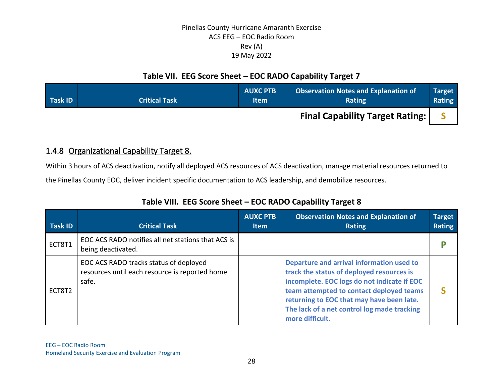## **Table VII. EEG Score Sheet – EOC RADO Capability Target 7**

| <b>Task ID</b> | <b>Critical Task</b> | <b>AUXC PTB</b><br><b>Item</b> | <b>Observation Notes and Explanation of</b><br>Rating | <b>Target</b><br><b>Rating</b> |
|----------------|----------------------|--------------------------------|-------------------------------------------------------|--------------------------------|
|                |                      |                                | <b>Final Capability Target Rating:  </b>              |                                |

## 1.4.8 Organizational Capability Target 8.

Within 3 hours of ACS deactivation, notify all deployed ACS resources of ACS deactivation, manage material resources returned to

the Pinellas County EOC, deliver incident specific documentation to ACS leadership, and demobilize resources.

| <b>Task ID</b> | <b>Critical Task</b>                                                                              | <b>AUXC PTB</b><br>Item | <b>Observation Notes and Explanation of</b><br><b>Rating</b>                                                                                                                                                                                                                                     | <b>Target</b><br><b>Rating</b> |
|----------------|---------------------------------------------------------------------------------------------------|-------------------------|--------------------------------------------------------------------------------------------------------------------------------------------------------------------------------------------------------------------------------------------------------------------------------------------------|--------------------------------|
| ECT8T1         | EOC ACS RADO notifies all net stations that ACS is<br>being deactivated.                          |                         |                                                                                                                                                                                                                                                                                                  |                                |
| ECT8T2         | EOC ACS RADO tracks status of deployed<br>resources until each resource is reported home<br>safe. |                         | Departure and arrival information used to<br>track the status of deployed resources is<br>incomplete. EOC logs do not indicate if EOC<br>team attempted to contact deployed teams<br>returning to EOC that may have been late.<br>The lack of a net control log made tracking<br>more difficult. |                                |

## **Table VIII. EEG Score Sheet – EOC RADO Capability Target 8**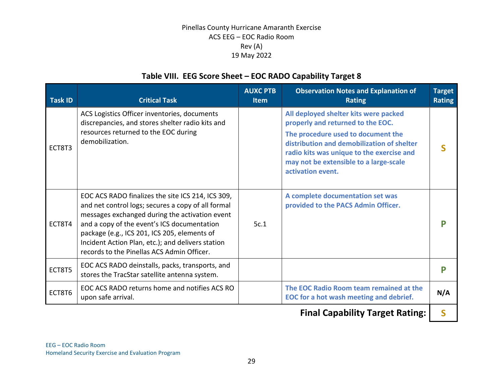## **Table VIII. EEG Score Sheet – EOC RADO Capability Target 8**

| <b>Task ID</b> | <b>Critical Task</b>                                                                                                                                                                                                                                                                                                                                        | <b>AUXC PTB</b><br><b>Item</b> | <b>Observation Notes and Explanation of</b><br><b>Rating</b>                                                                                                                                                                                                               | <b>Target</b><br><b>Rating</b> |
|----------------|-------------------------------------------------------------------------------------------------------------------------------------------------------------------------------------------------------------------------------------------------------------------------------------------------------------------------------------------------------------|--------------------------------|----------------------------------------------------------------------------------------------------------------------------------------------------------------------------------------------------------------------------------------------------------------------------|--------------------------------|
| ECT8T3         | ACS Logistics Officer inventories, documents<br>discrepancies, and stores shelter radio kits and<br>resources returned to the EOC during<br>demobilization.                                                                                                                                                                                                 |                                | All deployed shelter kits were packed<br>properly and returned to the EOC.<br>The procedure used to document the<br>distribution and demobilization of shelter<br>radio kits was unique to the exercise and<br>may not be extensible to a large-scale<br>activation event. |                                |
| ECT8T4         | EOC ACS RADO finalizes the site ICS 214, ICS 309,<br>and net control logs; secures a copy of all formal<br>messages exchanged during the activation event<br>and a copy of the event's ICS documentation<br>package (e.g., ICS 201, ICS 205, elements of<br>Incident Action Plan, etc.); and delivers station<br>records to the Pinellas ACS Admin Officer. | 5c.1                           | A complete documentation set was<br>provided to the PACS Admin Officer.                                                                                                                                                                                                    | D                              |
| ECT8T5         | EOC ACS RADO deinstalls, packs, transports, and<br>stores the TracStar satellite antenna system.                                                                                                                                                                                                                                                            |                                |                                                                                                                                                                                                                                                                            | р                              |
| ECT8T6         | EOC ACS RADO returns home and notifies ACS RO<br>upon safe arrival.                                                                                                                                                                                                                                                                                         |                                | The EOC Radio Room team remained at the<br>EOC for a hot wash meeting and debrief.                                                                                                                                                                                         | N/A                            |

**Final Capability Target Rating: | S |**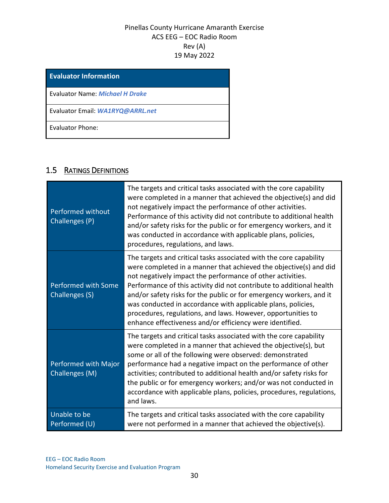| <b>Evaluator Information</b>     |
|----------------------------------|
| Evaluator Name: Michael H Drake  |
| Evaluator Email: WA1RYQ@ARRL.net |
| Evaluator Phone:                 |

## 1.5 RATINGS DEFINITIONS

| Performed without<br>Challenges (P)          | The targets and critical tasks associated with the core capability<br>were completed in a manner that achieved the objective(s) and did<br>not negatively impact the performance of other activities.<br>Performance of this activity did not contribute to additional health<br>and/or safety risks for the public or for emergency workers, and it<br>was conducted in accordance with applicable plans, policies,<br>procedures, regulations, and laws.                                                                                       |
|----------------------------------------------|--------------------------------------------------------------------------------------------------------------------------------------------------------------------------------------------------------------------------------------------------------------------------------------------------------------------------------------------------------------------------------------------------------------------------------------------------------------------------------------------------------------------------------------------------|
| <b>Performed with Some</b><br>Challenges (S) | The targets and critical tasks associated with the core capability<br>were completed in a manner that achieved the objective(s) and did<br>not negatively impact the performance of other activities.<br>Performance of this activity did not contribute to additional health<br>and/or safety risks for the public or for emergency workers, and it<br>was conducted in accordance with applicable plans, policies,<br>procedures, regulations, and laws. However, opportunities to<br>enhance effectiveness and/or efficiency were identified. |
| Performed with Major<br>Challenges (M)       | The targets and critical tasks associated with the core capability<br>were completed in a manner that achieved the objective(s), but<br>some or all of the following were observed: demonstrated<br>performance had a negative impact on the performance of other<br>activities; contributed to additional health and/or safety risks for<br>the public or for emergency workers; and/or was not conducted in<br>accordance with applicable plans, policies, procedures, regulations,<br>and laws.                                               |
| Unable to be<br>Performed (U)                | The targets and critical tasks associated with the core capability<br>were not performed in a manner that achieved the objective(s).                                                                                                                                                                                                                                                                                                                                                                                                             |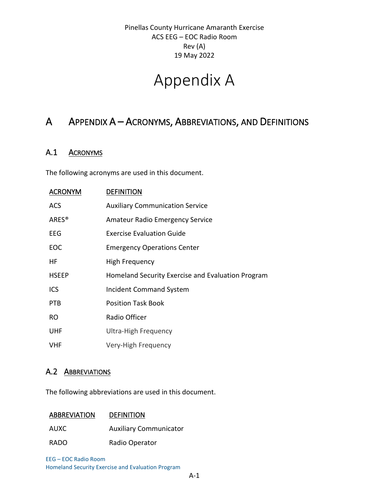# Appendix A

## A APPENDIX A – ACRONYMS, ABBREVIATIONS, AND DEFINITIONS

### A.1 ACRONYMS

The following acronyms are used in this document.

| <b>ACRONYM</b>    | <b>DEFINITION</b>                                 |
|-------------------|---------------------------------------------------|
| <b>ACS</b>        | <b>Auxiliary Communication Service</b>            |
| ARES <sup>®</sup> | <b>Amateur Radio Emergency Service</b>            |
| EEG               | <b>Exercise Evaluation Guide</b>                  |
| EOC               | <b>Emergency Operations Center</b>                |
| HF.               | High Frequency                                    |
| <b>HSEEP</b>      | Homeland Security Exercise and Evaluation Program |
| <b>ICS</b>        | <b>Incident Command System</b>                    |
| <b>PTB</b>        | <b>Position Task Book</b>                         |
| RO.               | Radio Officer                                     |
| <b>UHF</b>        | <b>Ultra-High Frequency</b>                       |
| <b>VHF</b>        | Very-High Frequency                               |

### A.2 ABBREVIATIONS

The following abbreviations are used in this document.

#### ABBREVIATION DEFINITION

AUXC Auxiliary Communicator

RADO Radio Operator

EEG – EOC Radio Room Homeland Security Exercise and Evaluation Program